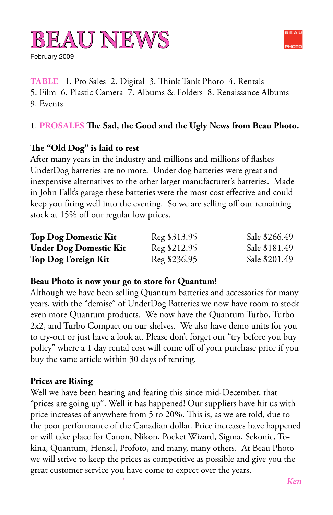



**TABLE** 1. Pro Sales 2. Digital 3. Think Tank Photo 4. Rentals

5. Film 6. Plastic Camera 7. Albums & Folders 8. Renaissance Albums 9. Events

# 1. **PROSALES !e Sad, the Good and the Ugly News from Beau Photo.**

# The "Old Dog" is laid to rest

After many years in the industry and millions and millions of flashes UnderDog batteries are no more. Under dog batteries were great and inexpensive alternatives to the other larger manufacturer's batteries. Made in John Falk's garage these batteries were the most cost effective and could keep you firing well into the evening. So we are selling off our remaining stock at 15% off our regular low prices.

| <b>Top Dog Domestic Kit</b>   | Reg \$313.95 | Sale \$266.49 |
|-------------------------------|--------------|---------------|
| <b>Under Dog Domestic Kit</b> | Reg \$212.95 | Sale \$181.49 |
| <b>Top Dog Foreign Kit</b>    | Reg \$236.95 | Sale \$201.49 |

## **Beau Photo is now your go to store for Quantum!**

Although we have been selling Quantum batteries and accessories for many years, with the "demise" of UnderDog Batteries we now have room to stock even more Quantum products. We now have the Quantum Turbo, Turbo 2x2, and Turbo Compact on our shelves. We also have demo units for you to try-out or just have a look at. Please don't forget our "try before you buy policy" where a 1 day rental cost will come off of your purchase price if you buy the same article within 30 days of renting.

## **Prices are Rising**

Well we have been hearing and fearing this since mid-December, that "prices are going up". Well it has happened! Our suppliers have hit us with price increases of anywhere from 5 to 20%. This is, as we are told, due to the poor performance of the Canadian dollar. Price increases have happened or will take place for Canon, Nikon, Pocket Wizard, Sigma, Sekonic, Tokina, Quantum, Hensel, Profoto, and many, many others. At Beau Photo we will strive to keep the prices as competitive as possible and give you the great customer service you have come to expect over the years.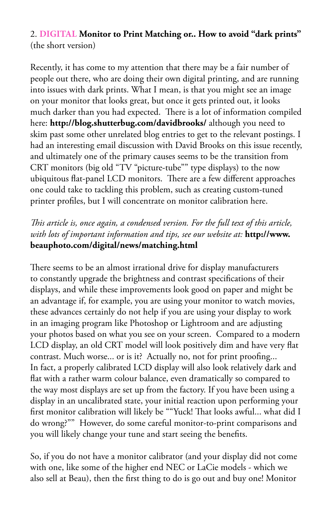# 2. **DIGITAL Monitor to Print Matching or.. How to avoid "dark prints"**  (the short version)

Recently, it has come to my attention that there may be a fair number of people out there, who are doing their own digital printing, and are running into issues with dark prints. What I mean, is that you might see an image on your monitor that looks great, but once it gets printed out, it looks much darker than you had expected. There is a lot of information compiled here: **http://blog.shutterbug.com/davidbrooks/** although you need to skim past some other unrelated blog entries to get to the relevant postings. I had an interesting email discussion with David Brooks on this issue recently, and ultimately one of the primary causes seems to be the transition from CRT monitors (big old "TV "picture-tube"" type displays) to the now ubiquitous flat-panel LCD monitors. There are a few different approaches one could take to tackling this problem, such as creating custom-tuned printer profiles, but I will concentrate on monitor calibration here.

# *This article is, once again, a condensed version. For the full text of this article, with lots of important information and tips, see our website at:* **http://www. beauphoto.com/digital/news/matching.html**

There seems to be an almost irrational drive for display manufacturers to constantly upgrade the brightness and contrast specifications of their displays, and while these improvements look good on paper and might be an advantage if, for example, you are using your monitor to watch movies, these advances certainly do not help if you are using your display to work in an imaging program like Photoshop or Lightroom and are adjusting your photos based on what you see on your screen. Compared to a modern LCD display, an old CRT model will look positively dim and have very flat contrast. Much worse... or is it? Actually no, not for print proofing... In fact, a properly calibrated LCD display will also look relatively dark and flat with a rather warm colour balance, even dramatically so compared to the way most displays are set up from the factory. If you have been using a display in an uncalibrated state, your initial reaction upon performing your first monitor calibration will likely be ""Yuck! That looks awful... what did I do wrong?"" However, do some careful monitor-to-print comparisons and you will likely change your tune and start seeing the benefits.

So, if you do not have a monitor calibrator (and your display did not come with one, like some of the higher end NEC or LaCie models - which we also sell at Beau), then the first thing to do is go out and buy one! Monitor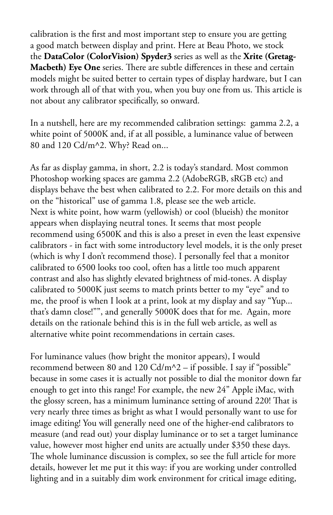calibration is the first and most important step to ensure you are getting a good match between display and print. Here at Beau Photo, we stock the **DataColor (ColorVision) Spyder3** series as well as the **Xrite (Gretag-**Macbeth) Eye One series. There are subtle differences in these and certain models might be suited better to certain types of display hardware, but I can work through all of that with you, when you buy one from us. This article is not about any calibrator specifically, so onward.

In a nutshell, here are my recommended calibration settings: gamma 2.2, a white point of 5000K and, if at all possible, a luminance value of between 80 and 120 Cd/m^2. Why? Read on...

As far as display gamma, in short, 2.2 is today's standard. Most common Photoshop working spaces are gamma 2.2 (AdobeRGB, sRGB etc) and displays behave the best when calibrated to 2.2. For more details on this and on the "historical" use of gamma 1.8, please see the web article. Next is white point, how warm (yellowish) or cool (blueish) the monitor appears when displaying neutral tones. It seems that most people recommend using 6500K and this is also a preset in even the least expensive calibrators - in fact with some introductory level models, it is the only preset (which is why I don't recommend those). I personally feel that a monitor calibrated to 6500 looks too cool, often has a little too much apparent contrast and also has slightly elevated brightness of mid-tones. A display calibrated to 5000K just seems to match prints better to my "eye" and to me, the proof is when I look at a print, look at my display and say "Yup... that's damn close!"", and generally 5000K does that for me. Again, more details on the rationale behind this is in the full web article, as well as alternative white point recommendations in certain cases.

For luminance values (how bright the monitor appears), I would recommend between 80 and 120  $Cd/m^2$  – if possible. I say if "possible" because in some cases it is actually not possible to dial the monitor down far enough to get into this range! For example, the new 24" Apple iMac, with the glossy screen, has a minimum luminance setting of around 220! That is very nearly three times as bright as what I would personally want to use for image editing! You will generally need one of the higher-end calibrators to measure (and read out) your display luminance or to set a target luminance value, however most higher end units are actually under \$350 these days. The whole luminance discussion is complex, so see the full article for more details, however let me put it this way: if you are working under controlled lighting and in a suitably dim work environment for critical image editing,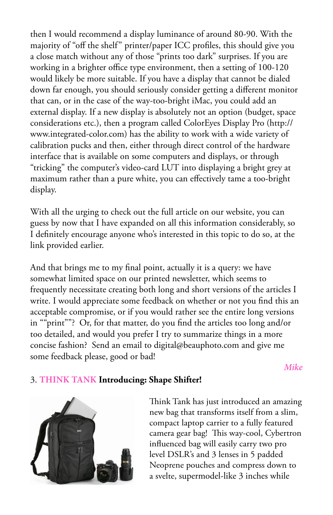then I would recommend a display luminance of around 80-90. With the majority of "off the shelf" printer/paper ICC profiles, this should give you a close match without any of those "prints too dark" surprises. If you are working in a brighter office type environment, then a setting of 100-120 would likely be more suitable. If you have a display that cannot be dialed down far enough, you should seriously consider getting a different monitor that can, or in the case of the way-too-bright iMac, you could add an external display. If a new display is absolutely not an option (budget, space considerations etc.), then a program called ColorEyes Display Pro (http:// www.integrated-color.com) has the ability to work with a wide variety of calibration pucks and then, either through direct control of the hardware interface that is available on some computers and displays, or through "tricking" the computer's video-card LUT into displaying a bright grey at maximum rather than a pure white, you can effectively tame a too-bright display.

With all the urging to check out the full article on our website, you can guess by now that I have expanded on all this information considerably, so I definitely encourage anyone who's interested in this topic to do so, at the link provided earlier.

And that brings me to my final point, actually it is a query: we have somewhat limited space on our printed newsletter, which seems to frequently necessitate creating both long and short versions of the articles I write. I would appreciate some feedback on whether or not you find this an acceptable compromise, or if you would rather see the entire long versions in ""print""? Or, for that matter, do you find the articles too long and/or too detailed, and would you prefer I try to summarize things in a more concise fashion? Send an email to digital@beauphoto.com and give me some feedback please, good or bad!

**Mike**

## 3. **THINK TANK Introducing: Shape Shifter!**



Think Tank has just introduced an amazing new bag that transforms itself from a slim, compact laptop carrier to a fully featured camera gear bag! This way-cool, Cybertron influenced bag will easily carry two pro level DSLR's and 3 lenses in 5 padded Neoprene pouches and compress down to a svelte, supermodel-like 3 inches while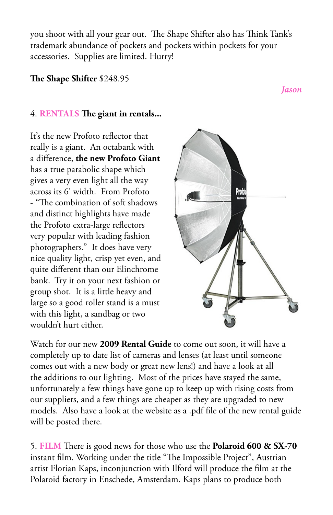you shoot with all your gear out. The Shape Shifter also has Think Tank's trademark abundance of pockets and pockets within pockets for your accessories. Supplies are limited. Hurry!

### **The Shape Shifter** \$248.95

### 4. **RENTALS !e giant in rentals...**

It's the new Profoto reflector that really is a giant. An octabank with a difference, **the new Profoto Giant** has a true parabolic shape which gives a very even light all the way across its 6' width. From Profoto - "The combination of soft shadows and distinct highlights have made the Profoto extra-large reflectors very popular with leading fashion photographers." It does have very nice quality light, crisp yet even, and quite different than our Elinchrome bank. Try it on your next fashion or group shot. It is a little heavy and large so a good roller stand is a must with this light, a sandbag or two wouldn't hurt either.



Watch for our new **2009 Rental Guide** to come out soon, it will have a completely up to date list of cameras and lenses (at least until someone comes out with a new body or great new lens!) and have a look at all the additions to our lighting. Most of the prices have stayed the same, unfortunately a few things have gone up to keep up with rising costs from our suppliers, and a few things are cheaper as they are upgraded to new models. Also have a look at the website as a .pdf file of the new rental guide will be posted there.

5. FILM There is good news for those who use the **Polaroid 600 & SX-70** instant film. Working under the title "The Impossible Project", Austrian artist Florian Kaps, inconjunction with Ilford will produce the film at the Polaroid factory in Enschede, Amsterdam. Kaps plans to produce both

**Jason**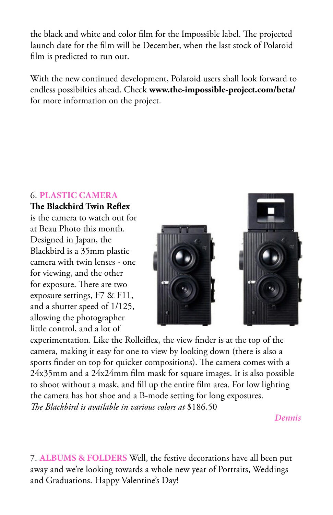the black and white and color film for the Impossible label. The projected launch date for the film will be December, when the last stock of Polaroid film is predicted to run out.

With the new continued development, Polaroid users shall look forward to endless possibilties ahead. Check **www.the-impossible-project.com/beta/** for more information on the project.

## 6. **PLASTIC CAMERA**

**The Blackbird Twin Reflex** is the camera to watch out for at Beau Photo this month. Designed in Japan, the Blackbird is a 35mm plastic camera with twin lenses - one for viewing, and the other for exposure. There are two exposure settings, F7 & F11, and a shutter speed of 1/125, allowing the photographer little control, and a lot of





experimentation. Like the Rolleiflex, the view finder is at the top of the camera, making it easy for one to view by looking down (there is also a sports finder on top for quicker compositions). The camera comes with a 24x35mm and a 24x24mm film mask for square images. It is also possible to shoot without a mask, and fill up the entire film area. For low lighting the camera has hot shoe and a B-mode setting for long exposures. *The Blackbird is available in various colors at* \$186.50

### **Dennis**

7. **ALBUMS & FOLDERS** Well, the festive decorations have all been put away and we're looking towards a whole new year of Portraits, Weddings and Graduations. Happy Valentine's Day!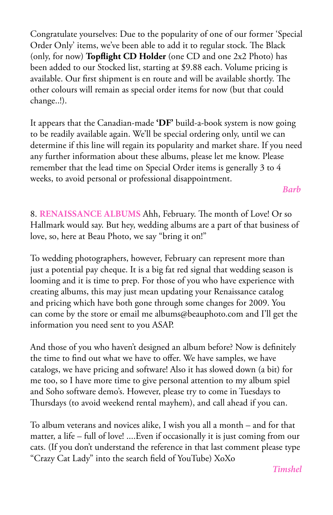Congratulate yourselves: Due to the popularity of one of our former 'Special Order Only' items, we've been able to add it to regular stock. The Black (only, for now) **Topflight CD Holder** (one CD and one 2x2 Photo) has been added to our Stocked list, starting at \$9.88 each. Volume pricing is available. Our first shipment is en route and will be available shortly. The other colours will remain as special order items for now (but that could change..!).

It appears that the Canadian-made **'DF'** build-a-book system is now going to be readily available again. We'll be special ordering only, until we can determine if this line will regain its popularity and market share. If you need any further information about these albums, please let me know. Please remember that the lead time on Special Order items is generally 3 to 4 weeks, to avoid personal or professional disappointment.

**BarbBarb** 

8. RENAISSANCE ALBUMS Ahh, February. The month of Love! Or so Hallmark would say. But hey, wedding albums are a part of that business of love, so, here at Beau Photo, we say "bring it on!"

To wedding photographers, however, February can represent more than just a potential pay cheque. It is a big fat red signal that wedding season is looming and it is time to prep. For those of you who have experience with creating albums, this may just mean updating your Renaissance catalog and pricing which have both gone through some changes for 2009. You can come by the store or email me albums@beauphoto.com and I'll get the information you need sent to you ASAP.

And those of you who haven't designed an album before? Now is definitely the time to find out what we have to offer. We have samples, we have catalogs, we have pricing and software! Also it has slowed down (a bit) for me too, so I have more time to give personal attention to my album spiel and Soho software demo's. However, please try to come in Tuesdays to Thursdays (to avoid weekend rental mayhem), and call ahead if you can.

To album veterans and novices alike, I wish you all a month – and for that matter, a life – full of love! ....Even if occasionally it is just coming from our cats. (If you don't understand the reference in that last comment please type "Crazy Cat Lady" into the search field of YouTube) XoXo